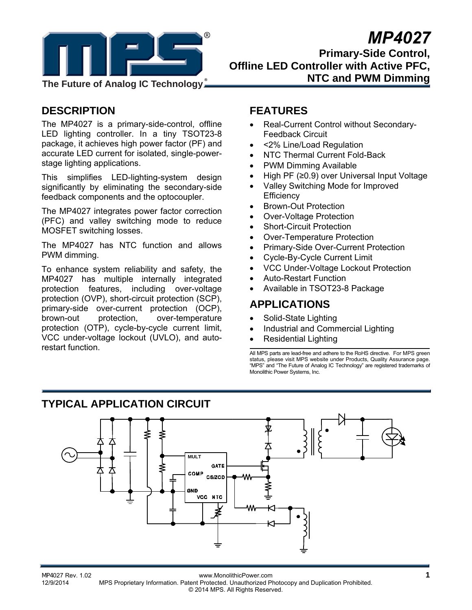

# *MP4027*  **Primary-Side Control, Offline LED Controller with Active PFC, NTC and PWM Dimming**

# **DESCRIPTION**

The MP4027 is a primary-side-control, offline LED lighting controller. In a tiny TSOT23-8 package, it achieves high power factor (PF) and accurate LED current for isolated, single-powerstage lighting applications.

This simplifies LED-lighting-system design significantly by eliminating the secondary-side feedback components and the optocoupler.

The MP4027 integrates power factor correction (PFC) and valley switching mode to reduce MOSFET switching losses.

The MP4027 has NTC function and allows PWM dimming.

To enhance system reliability and safety, the MP4027 has multiple internally integrated protection features, including over-voltage protection (OVP), short-circuit protection (SCP), primary-side over-current protection (OCP), brown-out protection, over-temperature protection (OTP), cycle-by-cycle current limit, VCC under-voltage lockout (UVLO), and autorestart function.

# **FEATURES**

- Real-Current Control without Secondary-Feedback Circuit
- <2% Line/Load Regulation
- NTC Thermal Current Fold-Back
- PWM Dimming Available
- High PF (≥0.9) over Universal Input Voltage
- Valley Switching Mode for Improved **Efficiency**
- Brown-Out Protection
- Over-Voltage Protection
- Short-Circuit Protection
- Over-Temperature Protection
- Primary-Side Over-Current Protection
- Cycle-By-Cycle Current Limit
- VCC Under-Voltage Lockout Protection
- Auto-Restart Function
- Available in TSOT23-8 Package

### **APPLICATIONS**

- Solid-State Lighting
- Industrial and Commercial Lighting
- Residential Lighting

All MPS parts are lead-free and adhere to the RoHS directive. For MPS green status, please visit MPS website under Products, Quality Assurance page. "MPS" and "The Future of Analog IC Technology" are registered trademarks of Monolithic Power Systems, Inc.

# **TYPICAL APPLICATION CIRCUIT**



MP4027 Rev. 1.02 www.MonolithicPower.com **1** MPS Proprietary Information. Patent Protected. Unauthorized Photocopy and Duplication Prohibited. © 2014 MPS. All Rights Reserved.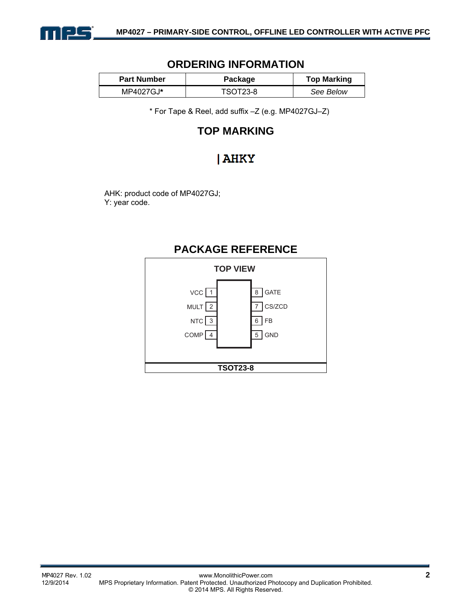

### **ORDERING INFORMATION**

| <b>Part Number</b> | <b>Package</b> | <b>Top Marking</b> |
|--------------------|----------------|--------------------|
| MP4027GJ*          | TSOT23-8       | See Below          |

\* For Tape & Reel, add suffix –Z (e.g. MP4027GJ–Z)

# **TOP MARKING**

# | AHKY

AHK: product code of MP4027GJ; Y: year code.

# **PACKAGE REFERENCE**

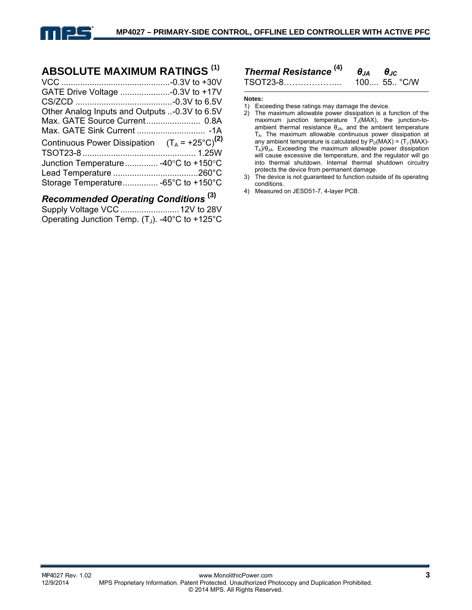

### **ABSOLUTE MAXIMUM RATINGS (1)**

| GATE Drive Voltage -0.3V to +17V                          |  |
|-----------------------------------------------------------|--|
|                                                           |  |
| Other Analog Inputs and Outputs -0.3V to 6.5V             |  |
| Max. GATE Source Current 0.8A                             |  |
|                                                           |  |
| Continuous Power Dissipation $(T_A = +25^{\circ}C)^{(2)}$ |  |
|                                                           |  |
| Junction Temperature  -40°C to +150°C                     |  |
|                                                           |  |
| Storage Temperature -65°C to +150°C                       |  |

# *Recommended Operating Conditions* **(3)**

```
Supply Voltage VCC .........................12V to 28V 
Operating Junction Temp. (T_J). -40°C to +125°C
```
# *Thermal Resistance* **(4)** *θJA θJC*

TSOT23-8…………………

#### **Notes:**

- 1) Exceeding these ratings may damage the device.
- 2) The maximum allowable power dissipation is a function of the maximum junction temperature  $T_J(MAX)$ , the junction-toambient thermal resistance  $\theta_{JA}$ , and the ambient temperature TA. The maximum allowable continuous power dissipation at any ambient temperature is calculated by  $P_D(MAX) = (T_J(MAX) - T_{J_J}N$ TA)/θJA. Exceeding the maximum allowable power dissipation will cause excessive die temperature, and the regulator will go into thermal shutdown. Internal thermal shutdown circuitry protects the device from permanent damage.
- 3) The device is not guaranteed to function outside of its operating conditions.
- 4) Measured on JESD51-7, 4-layer PCB.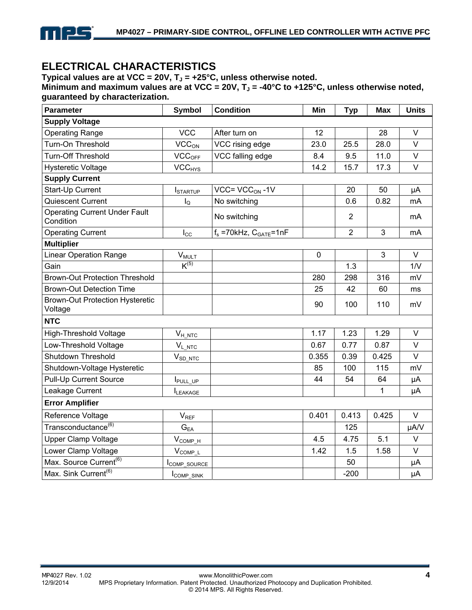

# **ELECTRICAL CHARACTERISTICS**

Typical values are at VCC =  $20V$ ,  $T_J$  =  $+25^{\circ}$ C, unless otherwise noted.

Minimum and maximum values are at VCC = 20V,  $T_J$  = -40°C to +125°C, unless otherwise noted, **guaranteed by characterization.** 

| <b>Parameter</b>                                  | <b>Symbol</b>                        | <b>Condition</b>                  | Min         | <b>Typ</b>     | <b>Max</b>   | <b>Units</b> |
|---------------------------------------------------|--------------------------------------|-----------------------------------|-------------|----------------|--------------|--------------|
| <b>Supply Voltage</b>                             |                                      |                                   |             |                |              |              |
| <b>Operating Range</b>                            | <b>VCC</b>                           | After turn on                     | 12          |                | 28           | $\vee$       |
| Turn-On Threshold                                 | VCC <sub>ON</sub><br>VCC rising edge |                                   | 23.0        | 25.5           | 28.0         | $\vee$       |
| <b>Turn-Off Threshold</b>                         | VCC <sub>OFF</sub>                   | VCC falling edge                  | 8.4         | 9.5            | 11.0         | $\vee$       |
| <b>Hysteretic Voltage</b>                         | <b>VCC<sub>HYS</sub></b>             |                                   | 14.2        | 15.7           | 17.3         | $\vee$       |
| <b>Supply Current</b>                             |                                      |                                   |             |                |              |              |
| Start-Up Current                                  | <b>I</b> STARTUP                     | $VCC = VCCON -1V$                 |             | 20             | 50           | μA           |
| Quiescent Current                                 | $I_{\mathsf{Q}}$                     | No switching                      |             | 0.6            | 0.82         | mA           |
| <b>Operating Current Under Fault</b><br>Condition |                                      | No switching                      |             | $\overline{2}$ |              | mA           |
| <b>Operating Current</b>                          | $I_{\rm CC}$                         | $f_s = 70$ kHz, $C_{GATE} = 1$ nF |             | $\overline{2}$ | 3            | mA           |
| <b>Multiplier</b>                                 |                                      |                                   |             |                |              |              |
| <b>Linear Operation Range</b>                     | <b>VMULT</b>                         |                                   | $\mathbf 0$ |                | 3            | $\vee$       |
| Gain                                              | $K^{(5)}$                            |                                   |             | 1.3            |              | 1/N          |
| <b>Brown-Out Protection Threshold</b>             |                                      |                                   | 280         | 298            | 316          | mV           |
| <b>Brown-Out Detection Time</b>                   |                                      |                                   | 25          | 42             | 60           | ms           |
| <b>Brown-Out Protection Hysteretic</b><br>Voltage |                                      |                                   | 90          | 100            | 110          | mV           |
| <b>NTC</b>                                        |                                      |                                   |             |                |              |              |
| <b>High-Threshold Voltage</b>                     | $V_{H\_NTC}$                         |                                   | 1.17        | 1.23           | 1.29         | $\vee$       |
| Low-Threshold Voltage                             | $V_{L\_NTC}$                         |                                   | 0.67        | 0.77           | 0.87         | $\vee$       |
| <b>Shutdown Threshold</b>                         | $V_{SD\_NTC}$                        |                                   | 0.355       | 0.39           | 0.425        | $\vee$       |
| Shutdown-Voltage Hysteretic                       |                                      |                                   | 85          | 100            | 115          | mV           |
| <b>Pull-Up Current Source</b>                     | I <sub>PULL_UP</sub>                 |                                   | 44          | 54             | 64           | μA           |
| Leakage Current                                   | LEAKAGE                              |                                   |             |                | $\mathbf{1}$ | μA           |
| <b>Error Amplifier</b>                            |                                      |                                   |             |                |              |              |
| Reference Voltage                                 | $V_{REF}$                            |                                   | 0.401       | 0.413          | 0.425        | V            |
| Transconductance <sup>(6)</sup>                   | $\mathbf{G}_{\mathsf{EA}}$           |                                   |             | 125            |              | µA/V         |
| <b>Upper Clamp Voltage</b>                        | $V_{COMP\_H}$                        |                                   | 4.5         | 4.75           | 5.1          | $\vee$       |
| Lower Clamp Voltage                               | $V_{COMP\_L}$                        |                                   | 1.42        | 1.5            | 1.58         | $\vee$       |
| Max. Source Current <sup>(6)</sup>                | COMP_SOURCE                          |                                   |             | 50             |              | μA           |
| Max. Sink Current <sup>(6)</sup>                  | COMP_SINK                            |                                   |             | $-200$         |              | μA           |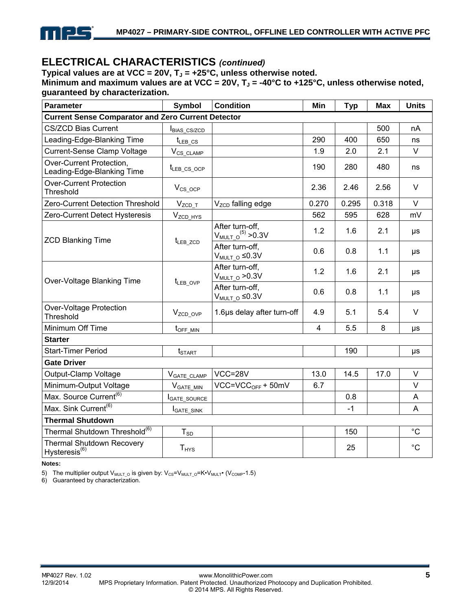

## **ELECTRICAL CHARACTERISTICS** *(continued)*

Typical values are at VCC = 20V,  $T_J$  = +25°C, unless otherwise noted.

Minimum and maximum values are at VCC = 20V, T<sub>J</sub> = -40°C to +125°C, unless otherwise noted, **guaranteed by characterization.** 

| Parameter                                                        | <b>Symbol</b><br><b>Condition</b> |                                               | Min            | <b>Typ</b> | <b>Max</b> | <b>Units</b> |
|------------------------------------------------------------------|-----------------------------------|-----------------------------------------------|----------------|------------|------------|--------------|
| <b>Current Sense Comparator and Zero Current Detector</b>        |                                   |                                               |                |            |            |              |
| <b>CS/ZCD Bias Current</b>                                       | <b>BIAS CS/ZCD</b>                |                                               |                |            | 500        | nA           |
| Leading-Edge-Blanking Time                                       | $t_{LEB}$ $cs$                    |                                               | 290            | 400        | 650        | ns           |
| Current-Sense Clamp Voltage                                      | $V_{CS\_CLAMP}$                   |                                               | 1.9            | 2.0        | 2.1        | V            |
| Over-Current Protection,<br>Leading-Edge-Blanking Time           | $t_{LEB}$ cs ocp                  |                                               | 190            | 280        | 480        | ns           |
| <b>Over-Current Protection</b><br>Threshold                      | $V_{CS\_OCP}$                     |                                               | 2.36           | 2.46       | 2.56       | $\vee$       |
| Zero-Current Detection Threshold                                 | $V_{ZCD\_T}$                      | V <sub>ZCD</sub> falling edge                 | 0.270          | 0.295      | 0.318      | $\vee$       |
| Zero-Current Detect Hysteresis                                   | $V_{ZCD_HYS}$                     |                                               | 562            | 595        | 628        | mV           |
| <b>ZCD Blanking Time</b>                                         | t <sub>LEB_ZCD</sub>              | After turn-off,<br>$V_{MULT\_O}^{(5)} > 0.3V$ | 1.2            | 1.6        | 2.1        | $\mu s$      |
|                                                                  |                                   | After turn-off,<br>$V_{MULT_O} \leq 0.3V$     | 0.6            | 0.8        | 1.1        | $\mu s$      |
| Over-Voltage Blanking Time                                       | t <sub>LEB_OVP</sub>              | After turn-off,<br>$V_{MULT O} > 0.3V$        | 1.2            | 1.6        | 2.1        | $\mu s$      |
|                                                                  |                                   | After turn-off,<br>$V_{MULT O} \leq 0.3V$     | 0.6            | 0.8        | 1.1        | μs           |
| Over-Voltage Protection<br>Threshold                             | V <sub>ZCD_OVP</sub>              | 1.6µs delay after turn-off                    | 4.9            | 5.1        | 5.4        | $\vee$       |
| Minimum Off Time                                                 | $t_{\text{OFF\_MIN}}$             |                                               | $\overline{4}$ | 5.5        | 8          | μs           |
| <b>Starter</b>                                                   |                                   |                                               |                |            |            |              |
| <b>Start-Timer Period</b>                                        | $t_{\text{STAT}}$                 |                                               |                | 190        |            | μs           |
| <b>Gate Driver</b>                                               |                                   |                                               |                |            |            |              |
| Output-Clamp Voltage                                             | V <sub>GATE_CLAMP</sub>           | $VCC = 28V$                                   | 13.0           | 14.5       | 17.0       | $\vee$       |
| Minimum-Output Voltage                                           | $V_{GATE\_MIN}$                   | $VCC=VCCOFF + 50mV$                           | 6.7            |            |            | $\vee$       |
| Max. Source Current <sup>(6)</sup>                               | <b>IGATE SOURCE</b>               |                                               |                | 0.8        |            | A            |
| Max. Sink Current <sup>(6)</sup>                                 | <b>I</b> GATE_SINK                |                                               |                | $-1$       |            | A            |
| <b>Thermal Shutdown</b>                                          |                                   |                                               |                |            |            |              |
| Thermal Shutdown Threshold <sup>(6)</sup>                        | $T_{SD}$                          |                                               |                | 150        |            | $^{\circ}C$  |
| <b>Thermal Shutdown Recovery</b><br>$H$ ysteresis <sup>(6)</sup> | $T_{HYS}$                         |                                               |                | 25         |            | $^{\circ}C$  |

**Notes:** 

5) The multiplier output  $V_{MULTO}$  is given by:  $V_{CS}=V_{MULTO}=K\cdot V_{MULT}$  ( $V_{COMP}$ -1.5)

6) Guaranteed by characterization.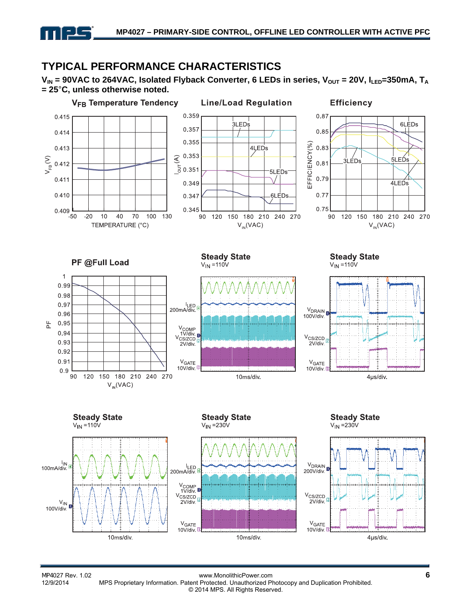# **TYPICAL PERFORMANCE CHARACTERISTICS**

<u> - J - </u>

 $V_{IN}$  = 90VAC to 264VAC, Isolated Flyback Converter, 6 LEDs in series,  $V_{OUT}$  = 20V,  $I_{LED}$ =350mA,  $T_A$ **= 25**°**C, unless otherwise noted.**



MP4027 Rev. 1.02 **6**<br>12/9/2014 MPS Proprietary Information. Patent Protected. Unauthorized Photocopy and Duplication Prohibited. MPS Proprietary Information. Patent Protected. Unauthorized Photocopy and Duplication Prohibited. © 2014 MPS. All Rights Reserved.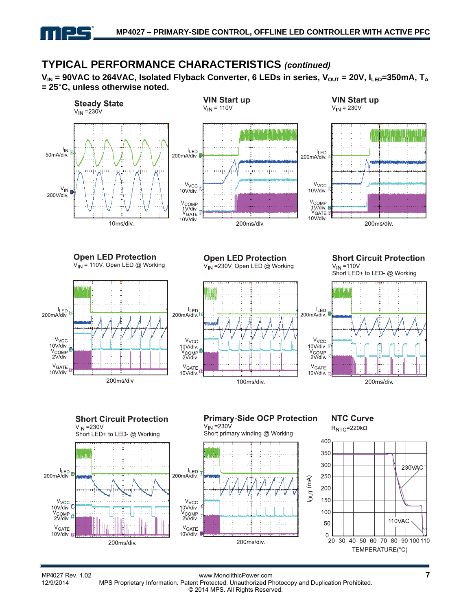

# **TYPICAL PERFORMANCE CHARACTERISTICS** *(continued)*

 $V_{IN}$  = 90VAC to 264VAC, Isolated Flyback Converter, 6 LEDs in series,  $V_{OUT}$  = 20V,  $I_{LED}$ =350mA,  $T_A$ **= 25**°**C, unless otherwise noted.**



MP4027 Rev. 1.02 www.MonolithicPower.com **7** MPS Proprietary Information. Patent Protected. Unauthorized Photocopy and Duplication Prohibited. © 2014 MPS. All Rights Reserved.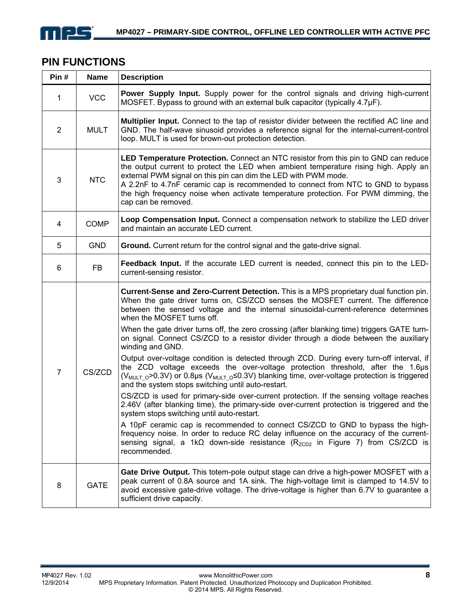

# **PIN FUNCTIONS**

| Pin#           | <b>Name</b> | <b>Description</b>                                                                                                                                                                                                                                                                                                                                                                                                                                                                                                                                                                                                                                                                                                                                                                                                                                                                                                                                                                                                                                                                                                                                                                                                                                                                                                                                                                                                    |
|----------------|-------------|-----------------------------------------------------------------------------------------------------------------------------------------------------------------------------------------------------------------------------------------------------------------------------------------------------------------------------------------------------------------------------------------------------------------------------------------------------------------------------------------------------------------------------------------------------------------------------------------------------------------------------------------------------------------------------------------------------------------------------------------------------------------------------------------------------------------------------------------------------------------------------------------------------------------------------------------------------------------------------------------------------------------------------------------------------------------------------------------------------------------------------------------------------------------------------------------------------------------------------------------------------------------------------------------------------------------------------------------------------------------------------------------------------------------------|
| 1              | <b>VCC</b>  | <b>Power Supply Input.</b> Supply power for the control signals and driving high-current<br>MOSFET. Bypass to ground with an external bulk capacitor (typically 4.7µF).                                                                                                                                                                                                                                                                                                                                                                                                                                                                                                                                                                                                                                                                                                                                                                                                                                                                                                                                                                                                                                                                                                                                                                                                                                               |
| $\overline{2}$ | <b>MULT</b> | <b>Multiplier Input.</b> Connect to the tap of resistor divider between the rectified AC line and<br>GND. The half-wave sinusoid provides a reference signal for the internal-current-control<br>loop. MULT is used for brown-out protection detection.                                                                                                                                                                                                                                                                                                                                                                                                                                                                                                                                                                                                                                                                                                                                                                                                                                                                                                                                                                                                                                                                                                                                                               |
| $\mathbf{3}$   | <b>NTC</b>  | LED Temperature Protection. Connect an NTC resistor from this pin to GND can reduce<br>the output current to protect the LED when ambient temperature rising high. Apply an<br>external PWM signal on this pin can dim the LED with PWM mode.<br>A 2.2nF to 4.7nF ceramic cap is recommended to connect from NTC to GND to bypass<br>the high frequency noise when activate temperature protection. For PWM dimming, the<br>cap can be removed.                                                                                                                                                                                                                                                                                                                                                                                                                                                                                                                                                                                                                                                                                                                                                                                                                                                                                                                                                                       |
| 4              | <b>COMP</b> | Loop Compensation Input. Connect a compensation network to stabilize the LED driver<br>and maintain an accurate LED current.                                                                                                                                                                                                                                                                                                                                                                                                                                                                                                                                                                                                                                                                                                                                                                                                                                                                                                                                                                                                                                                                                                                                                                                                                                                                                          |
| 5              | <b>GND</b>  | Ground. Current return for the control signal and the gate-drive signal.                                                                                                                                                                                                                                                                                                                                                                                                                                                                                                                                                                                                                                                                                                                                                                                                                                                                                                                                                                                                                                                                                                                                                                                                                                                                                                                                              |
| 6              | <b>FB</b>   | Feedback Input. If the accurate LED current is needed, connect this pin to the LED-<br>current-sensing resistor.                                                                                                                                                                                                                                                                                                                                                                                                                                                                                                                                                                                                                                                                                                                                                                                                                                                                                                                                                                                                                                                                                                                                                                                                                                                                                                      |
| $\overline{7}$ | CS/ZCD      | Current-Sense and Zero-Current Detection. This is a MPS proprietary dual function pin.<br>When the gate driver turns on, CS/ZCD senses the MOSFET current. The difference<br>between the sensed voltage and the internal sinusoidal-current-reference determines<br>when the MOSFET turns off.<br>When the gate driver turns off, the zero crossing (after blanking time) triggers GATE turn-<br>on signal. Connect CS/ZCD to a resistor divider through a diode between the auxiliary<br>winding and GND.<br>Output over-voltage condition is detected through ZCD. During every turn-off interval, if<br>the ZCD voltage exceeds the over-voltage protection threshold, after the 1.6µs<br>( $V_{\text{MULTO}}$ >0.3V) or 0.8µs ( $V_{\text{MULTO}}$ $\leq$ 0.3V) blanking time, over-voltage protection is triggered<br>and the system stops switching until auto-restart.<br>CS/ZCD is used for primary-side over-current protection. If the sensing voltage reaches<br>2.46V (after blanking time), the primary-side over-current protection is triggered and the<br>system stops switching until auto-restart.<br>A 10pF ceramic cap is recommended to connect CS/ZCD to GND to bypass the high-<br>frequency noise. In order to reduce RC delay influence on the accuracy of the current-<br>sensing signal, a 1k $\Omega$ down-side resistance (R <sub>ZCD2</sub> in Figure 7) from CS/ZCD is<br>recommended. |
| 8              | <b>GATE</b> | Gate Drive Output. This totem-pole output stage can drive a high-power MOSFET with a<br>peak current of 0.8A source and 1A sink. The high-voltage limit is clamped to 14.5V to<br>avoid excessive gate-drive voltage. The drive-voltage is higher than 6.7V to guarantee a<br>sufficient drive capacity.                                                                                                                                                                                                                                                                                                                                                                                                                                                                                                                                                                                                                                                                                                                                                                                                                                                                                                                                                                                                                                                                                                              |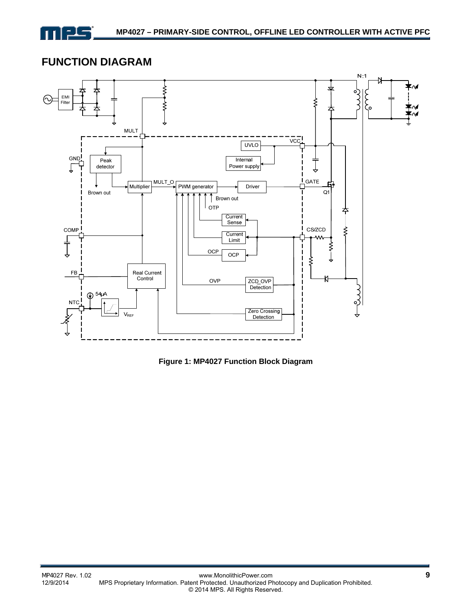

## **FUNCTION DIAGRAM**



**Figure 1: MP4027 Function Block Diagram**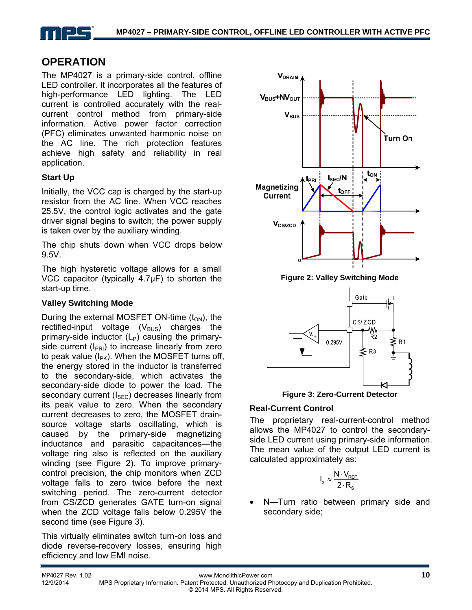

## **OPERATION**

The MP4027 is a primary-side control, offline LED controller. It incorporates all the features of high-performance LED lighting. The LED current is controlled accurately with the realcurrent control method from primary-side information. Active power factor correction (PFC) eliminates unwanted harmonic noise on the AC line. The rich protection features achieve high safety and reliability in real application.

### **Start Up**

Initially, the VCC cap is charged by the start-up resistor from the AC line. When VCC reaches 25.5V, the control logic activates and the gate driver signal begins to switch; the power supply is taken over by the auxiliary winding.

The chip shuts down when VCC drops below 9.5V.

The high hysteretic voltage allows for a small VCC capacitor (typically 4.7μF) to shorten the start-up time.

### **Valley Switching Mode**

During the external MOSFET ON-time  $(t_{ON})$ , the rectified-input voltage  $(V_{\text{BUS}})$  charges the primary-side inductor  $(L_P)$  causing the primaryside current ( $I_{PR1}$ ) to increase linearly from zero to peak value  $(I_{PK})$ . When the MOSFET turns off, the energy stored in the inductor is transferred to the secondary-side, which activates the secondary-side diode to power the load. The secondary current  $(I<sub>SEC</sub>)$  decreases linearly from its peak value to zero. When the secondary current decreases to zero, the MOSFET drainsource voltage starts oscillating, which is caused by the primary-side magnetizing inductance and parasitic capacitances—the voltage ring also is reflected on the auxiliary winding (see Figure 2). To improve primarycontrol precision, the chip monitors when ZCD voltage falls to zero twice before the next switching period. The zero-current detector from CS/ZCD generates GATE turn-on signal when the ZCD voltage falls below 0.295V the second time (see Figure 3).

This virtually eliminates switch turn-on loss and diode reverse-recovery losses, ensuring high efficiency and low EMI noise.



**Figure 2: Valley Switching Mode** 



**Figure 3: Zero-Current Detector** 

### **Real-Current Control**

The proprietary real-current-control method allows the MP4027 to control the secondaryside LED current using primary-side information. The mean value of the output LED current is calculated approximately as:

$$
I_o \approx \frac{N \cdot V_{REF}}{2 \cdot R_s}
$$

 N—Turn ratio between primary side and secondary side;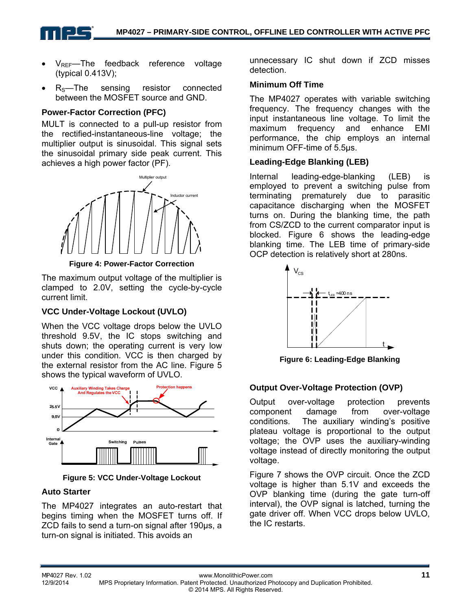

- $V_{REF}$ —The feedback reference voltage (typical 0.413V);
- $R_S$ —The sensing resistor connected between the MOSFET source and GND.

### **Power-Factor Correction (PFC)**

MULT is connected to a pull-up resistor from the rectified-instantaneous-line voltage; the multiplier output is sinusoidal. This signal sets the sinusoidal primary side peak current. This achieves a high power factor (PF).



**Figure 4: Power-Factor Correction** 

The maximum output voltage of the multiplier is clamped to 2.0V, setting the cycle-by-cycle current limit.

### **VCC Under-Voltage Lockout (UVLO)**

When the VCC voltage drops below the UVLO threshold 9.5V, the IC stops switching and shuts down; the operating current is very low under this condition. VCC is then charged by the external resistor from the AC line. Figure 5 shows the typical waveform of UVLO.



**Figure 5: VCC Under-Voltage Lockout**

### **Auto Starter**

The MP4027 integrates an auto-restart that begins timing when the MOSFET turns off. If ZCD fails to send a turn-on signal after 190µs, a turn-on signal is initiated. This avoids an

unnecessary IC shut down if ZCD misses detection.

### **Minimum Off Time**

The MP4027 operates with variable switching frequency. The frequency changes with the input instantaneous line voltage. To limit the maximum frequency and enhance EMI performance, the chip employs an internal minimum OFF-time of 5.5µs.

### **Leading-Edge Blanking (LEB)**

Internal leading-edge-blanking (LEB) is employed to prevent a switching pulse from terminating prematurely due to parasitic capacitance discharging when the MOSFET turns on. During the blanking time, the path from CS/ZCD to the current comparator input is blocked. Figure 6 shows the leading-edge blanking time. The LEB time of primary-side OCP detection is relatively short at 280ns.



**Figure 6: Leading-Edge Blanking** 

### **Output Over-Voltage Protection (OVP)**

Output over-voltage protection prevents component damage from over-voltage conditions. The auxiliary winding's positive plateau voltage is proportional to the output voltage; the OVP uses the auxiliary-winding voltage instead of directly monitoring the output voltage.

Figure 7 shows the OVP circuit. Once the ZCD voltage is higher than 5.1V and exceeds the OVP blanking time (during the gate turn-off interval), the OVP signal is latched, turning the gate driver off. When VCC drops below UVLO, the IC restarts.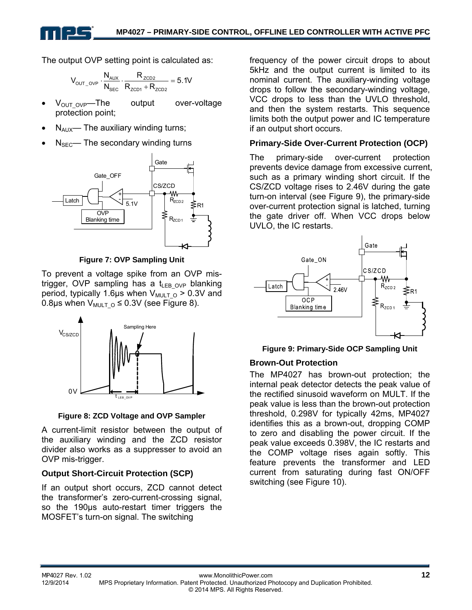The output OVP setting point is calculated as:

$$
V_{\text{OUT\_OVP}}\cdot \frac{N_{\text{AUX}}}{N_{\text{SEC}}}\cdot \frac{R_{\text{ZCD2}}}{R_{\text{ZCD1}}+R_{\text{ZCD2}}}=5.1V
$$

- $V_{\text{OUT OVP}}$ —The output over-voltage protection point;
- $N_{\text{AUX}}$  The auxiliary winding turns;
- $N<sub>SEC</sub>$  The secondary winding turns



**Figure 7: OVP Sampling Unit** 

To prevent a voltage spike from an OVP mistrigger, OVP sampling has a  $t_{LEB-OVP}$  blanking period, typically 1.6µs when  $V_{\text{MULTO}} > 0.3V$  and 0.8µs when  $V_{\text{MULT O}} \leq 0.3V$  (see Figure 8).



**Figure 8: ZCD Voltage and OVP Sampler** 

A current-limit resistor between the output of the auxiliary winding and the ZCD resistor divider also works as a suppresser to avoid an OVP mis-trigger.

### **Output Short-Circuit Protection (SCP)**

If an output short occurs, ZCD cannot detect the transformer's zero-current-crossing signal, so the 190μs auto-restart timer triggers the MOSFET's turn-on signal. The switching

frequency of the power circuit drops to about 5kHz and the output current is limited to its nominal current. The auxiliary-winding voltage drops to follow the secondary-winding voltage, VCC drops to less than the UVLO threshold, and then the system restarts. This sequence limits both the output power and IC temperature if an output short occurs.

### **Primary-Side Over-Current Protection (OCP)**

The primary-side over-current protection prevents device damage from excessive current, such as a primary winding short circuit. If the CS/ZCD voltage rises to 2.46V during the gate turn-on interval (see Figure 9), the primary-side over-current protection signal is latched, turning the gate driver off. When VCC drops below UVLO, the IC restarts.



**Figure 9: Primary-Side OCP Sampling Unit** 

### **Brown-Out Protection**

The MP4027 has brown-out protection; the internal peak detector detects the peak value of the rectified sinusoid waveform on MULT. If the peak value is less than the brown-out protection threshold, 0.298V for typically 42ms, MP4027 identifies this as a brown-out, dropping COMP to zero and disabling the power circuit. If the peak value exceeds 0.398V, the IC restarts and the COMP voltage rises again softly. This feature prevents the transformer and LED current from saturating during fast ON/OFF switching (see Figure 10).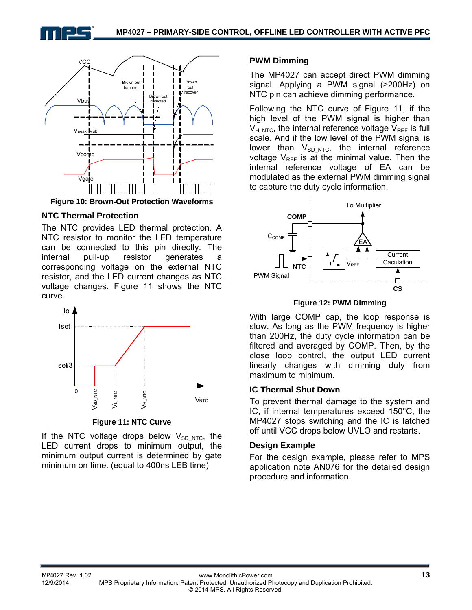



#### **NTC Thermal Protection**

The NTC provides LED thermal protection. A NTC resistor to monitor the LED temperature can be connected to this pin directly. The internal pull-up resistor generates a corresponding voltage on the external NTC resistor, and the LED current changes as NTC voltage changes. Figure 11 shows the NTC curve.



**Figure 11: NTC Curve** 

If the NTC voltage drops below  $V_{SD,NTC}$ , the LED current drops to minimum output, the minimum output current is determined by gate minimum on time. (equal to 400ns LEB time)

#### **PWM Dimming**

The MP4027 can accept direct PWM dimming signal. Applying a PWM signal (>200Hz) on NTC pin can achieve dimming performance.

Following the NTC curve of Figure 11, if the high level of the PWM signal is higher than  $V_{H,NTC}$ , the internal reference voltage  $V_{RFF}$  is full scale. And if the low level of the PWM signal is lower than  $V_{SD,NTC}$ , the internal reference voltage  $V_{REF}$  is at the minimal value. Then the internal reference voltage of EA can be modulated as the external PWM dimming signal to capture the duty cycle information.



#### **Figure 12: PWM Dimming**

With large COMP cap, the loop response is slow. As long as the PWM frequency is higher than 200Hz, the duty cycle information can be filtered and averaged by COMP. Then, by the close loop control, the output LED current linearly changes with dimming duty from maximum to minimum.

#### **IC Thermal Shut Down**

To prevent thermal damage to the system and IC, if internal temperatures exceed 150°C, the MP4027 stops switching and the IC is latched off until VCC drops below UVLO and restarts.

#### **Design Example**

For the design example, please refer to MPS application note AN076 for the detailed design procedure and information.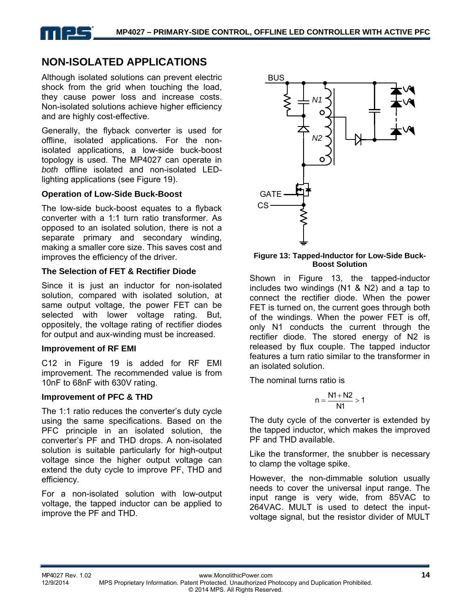

# **NON-ISOLATED APPLICATIONS**

Although isolated solutions can prevent electric shock from the grid when touching the load, they cause power loss and increase costs. Non-isolated solutions achieve higher efficiency and are highly cost-effective.

Generally, the flyback converter is used for offline, isolated applications. For the nonisolated applications, a low-side buck-boost topology is used. The MP4027 can operate in *both* offline isolated and non-isolated LEDlighting applications (see Figure 19).

### **Operation of Low-Side Buck-Boost**

The low-side buck-boost equates to a flyback converter with a 1:1 turn ratio transformer. As opposed to an isolated solution, there is not a separate primary and secondary winding, making a smaller core size. This saves cost and improves the efficiency of the driver.

#### **The Selection of FET & Rectifier Diode**

Since it is just an inductor for non-isolated solution, compared with isolated solution, at same output voltage, the power FET can be selected with lower voltage rating. But, oppositely, the voltage rating of rectifier diodes for output and aux-winding must be increased.

#### **Improvement of RF EMI**

C12 in Figure 19 is added for RF EMI improvement. The recommended value is from 10nF to 68nF with 630V rating.

#### **Improvement of PFC & THD**

The 1:1 ratio reduces the converter's duty cycle using the same specifications. Based on the PFC principle in an isolated solution, the converter's PF and THD drops. A non-isolated solution is suitable particularly for high-output voltage since the higher output voltage can extend the duty cycle to improve PF, THD and efficiency.

For a non-isolated solution with low-output voltage, the tapped inductor can be applied to improve the PF and THD.



#### **Figure 13: Tapped-Inductor for Low-Side Buck-Boost Solution**

Shown in Figure 13, the tapped-inductor includes two windings (N1 & N2) and a tap to connect the rectifier diode. When the power FET is turned on, the current goes through both of the windings. When the power FET is off, only N1 conducts the current through the rectifier diode. The stored energy of N2 is released by flux couple. The tapped inductor features a turn ratio similar to the transformer in an isolated solution.

The nominal turns ratio is

$$
n=\frac{N1+N2}{N1}>1
$$

The duty cycle of the converter is extended by the tapped inductor, which makes the improved PF and THD available.

Like the transformer, the snubber is necessary to clamp the voltage spike.

However, the non-dimmable solution usually needs to cover the universal input range. The input range is very wide, from 85VAC to 264VAC. MULT is used to detect the inputvoltage signal, but the resistor divider of MULT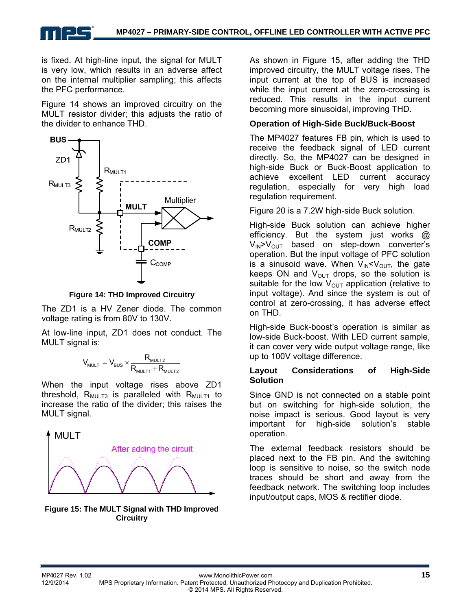is fixed. At high-line input, the signal for MULT is very low, which results in an adverse affect on the internal multiplier sampling; this affects the PFC performance.

Figure 14 shows an improved circuitry on the MULT resistor divider; this adjusts the ratio of the divider to enhance THD.



**Figure 14: THD Improved Circuitry** 

The ZD1 is a HV Zener diode. The common voltage rating is from 80V to 130V.

At low-line input, ZD1 does not conduct. The MULT signal is:

$$
V_{\text{MULT}} = V_{\text{BUS}} \times \frac{R_{\text{MULT2}}}{R_{\text{MULT1}} + R_{\text{MULT2}}}
$$

When the input voltage rises above ZD1 threshold,  $R_{MULT3}$  is paralleled with  $R_{MULT1}$  to increase the ratio of the divider; this raises the MULT signal.



**Figure 15: The MULT Signal with THD Improved Circuitry**

As shown in Figure 15, after adding the THD improved circuitry, the MULT voltage rises. The input current at the top of BUS is increased while the input current at the zero-crossing is reduced. This results in the input current becoming more sinusoidal, improving THD.

### **Operation of High-Side Buck/Buck-Boost**

The MP4027 features FB pin, which is used to receive the feedback signal of LED current directly. So, the MP4027 can be designed in high-side Buck or Buck-Boost application to achieve excellent LED current accuracy regulation, especially for very high load regulation requirement.

Figure 20 is a 7.2W high-side Buck solution.

High-side Buck solution can achieve higher efficiency. But the system just works @  $V_{\text{IN}}$  $V_{\text{OUT}}$  based on step-down converter's operation. But the input voltage of PFC solution is a sinusoid wave. When  $V_{\text{IN}} < V_{\text{OUT}}$ , the gate keeps ON and  $V_{\text{OUT}}$  drops, so the solution is suitable for the low  $V_{OUT}$  application (relative to input voltage). And since the system is out of control at zero-crossing, it has adverse effect on THD.

High-side Buck-boost's operation is similar as low-side Buck-boost. With LED current sample, it can cover very wide output voltage range, like up to 100V voltage difference.

### **Layout Considerations of High-Side Solution**

Since GND is not connected on a stable point but on switching for high-side solution, the noise impact is serious. Good layout is very important for high-side solution's stable operation.

The external feedback resistors should be placed next to the FB pin. And the switching loop is sensitive to noise, so the switch node traces should be short and away from the feedback network. The switching loop includes input/output caps, MOS & rectifier diode.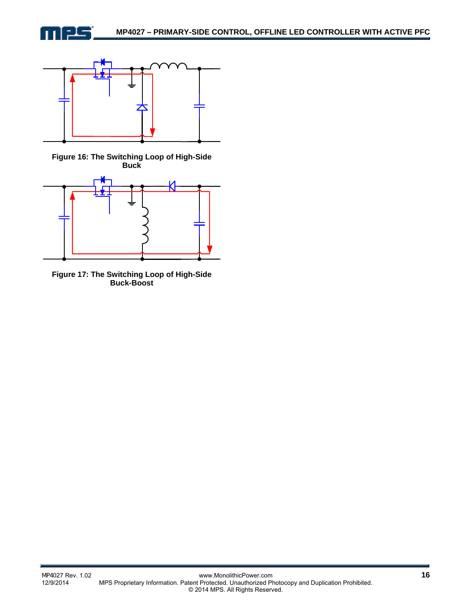



**Figure 16: The Switching Loop of High-Side Buck**



**Figure 17: The Switching Loop of High-Side Buck-Boost**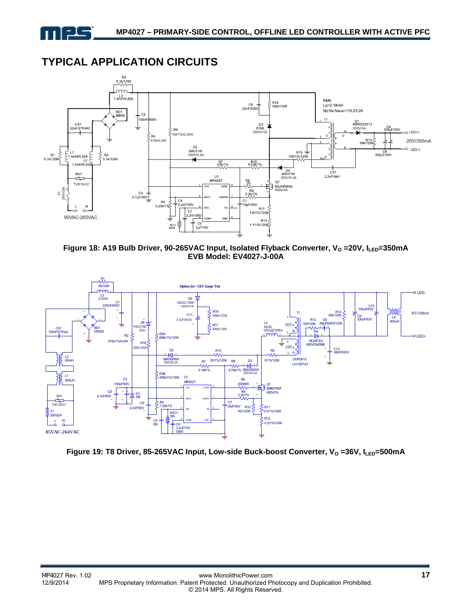

# **TYPICAL APPLICATION CIRCUITS**



Figure 18: A19 Bulb Driver, 90-265VAC Input, Isolated Flyback Converter, V<sub>o</sub> =20V, I<sub>LED</sub>=350mA **EVB Model: EV4027-J-00A** 



Figure 19: T8 Driver, 85-265VAC Input, Low-side Buck-boost Converter, V<sub>o</sub> =36V, I<sub>LED</sub>=500mA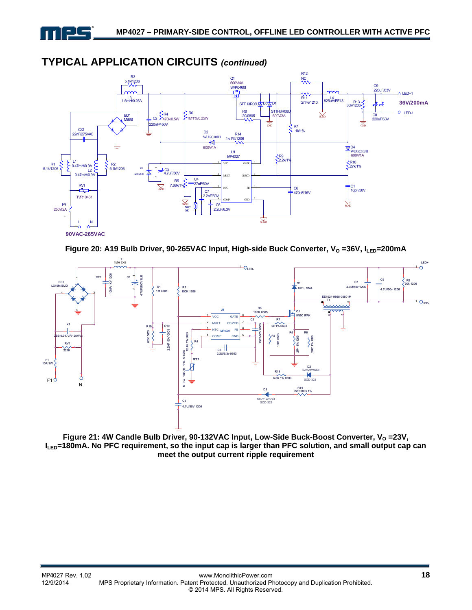



# **TYPICAL APPLICATION CIRCUITS** *(continued)*





Figure 21: 4W Candle Bulb Driver, 90-132VAC Input, Low-Side Buck-Boost Converter, V<sub>o</sub> =23V, **ILED=180mA. No PFC requirement, so the input cap is larger than PFC solution, and small output cap can meet the output current ripple requirement**